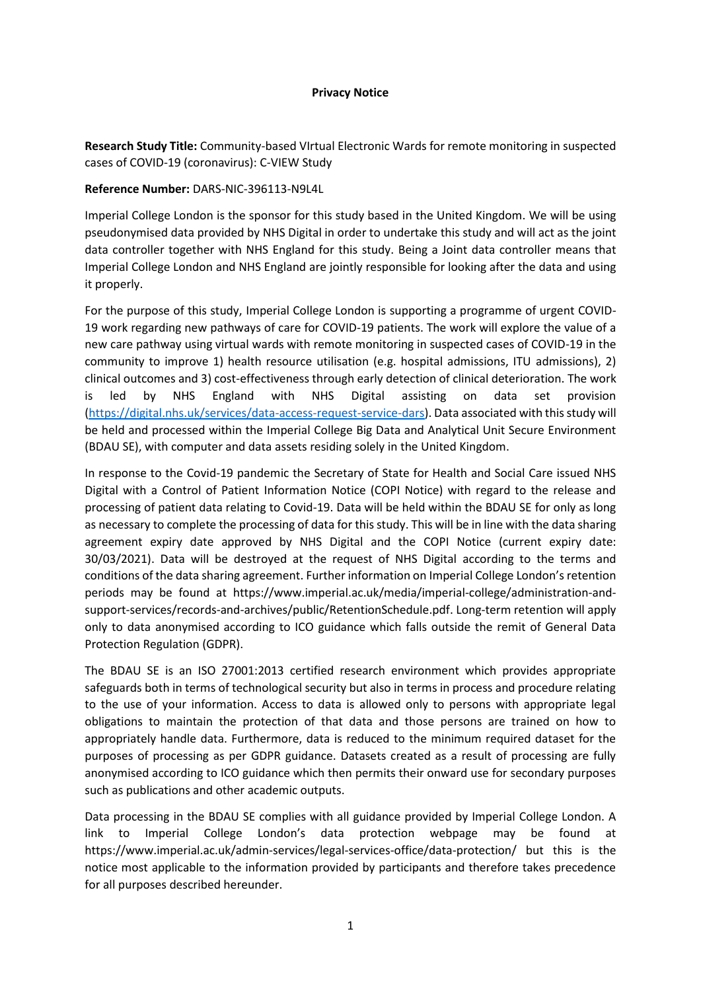#### **Privacy Notice**

**Research Study Title:** Community-based VIrtual Electronic Wards for remote monitoring in suspected cases of COVID-19 (coronavirus): C-VIEW Study

# **Reference Number:** DARS-NIC-396113-N9L4L

Imperial College London is the sponsor for this study based in the United Kingdom. We will be using pseudonymised data provided by NHS Digital in order to undertake this study and will act as the joint data controller together with NHS England for this study. Being a Joint data controller means that Imperial College London and NHS England are jointly responsible for looking after the data and using it properly.

For the purpose of this study, Imperial College London is supporting a programme of urgent COVID-19 work regarding new pathways of care for COVID-19 patients. The work will explore the value of a new care pathway using virtual wards with remote monitoring in suspected cases of COVID-19 in the community to improve 1) health resource utilisation (e.g. hospital admissions, ITU admissions), 2) clinical outcomes and 3) cost-effectiveness through early detection of clinical deterioration. The work is led by NHS England with NHS Digital assisting on data set provision [\(https://digital.nhs.uk/services/data-access-request-service-dars\)](https://digital.nhs.uk/services/data-access-request-service-dars). Data associated with this study will be held and processed within the Imperial College Big Data and Analytical Unit Secure Environment (BDAU SE), with computer and data assets residing solely in the United Kingdom.

In response to the Covid-19 pandemic the Secretary of State for Health and Social Care issued NHS Digital with a Control of Patient Information Notice (COPI Notice) with regard to the release and processing of patient data relating to Covid-19. Data will be held within the BDAU SE for only as long as necessary to complete the processing of data for this study. This will be in line with the data sharing agreement expiry date approved by NHS Digital and the COPI Notice (current expiry date: 30/03/2021). Data will be destroyed at the request of NHS Digital according to the terms and conditions of the data sharing agreement. Further information on Imperial College London's retention periods may be found at https://www.imperial.ac.uk/media/imperial-college/administration-andsupport-services/records-and-archives/public/RetentionSchedule.pdf. Long-term retention will apply only to data anonymised according to ICO guidance which falls outside the remit of General Data Protection Regulation (GDPR).

The BDAU SE is an ISO 27001:2013 certified research environment which provides appropriate safeguards both in terms of technological security but also in terms in process and procedure relating to the use of your information. Access to data is allowed only to persons with appropriate legal obligations to maintain the protection of that data and those persons are trained on how to appropriately handle data. Furthermore, data is reduced to the minimum required dataset for the purposes of processing as per GDPR guidance. Datasets created as a result of processing are fully anonymised according to ICO guidance which then permits their onward use for secondary purposes such as publications and other academic outputs.

Data processing in the BDAU SE complies with all guidance provided by Imperial College London. A link to Imperial College London's data protection webpage may be found at https://www.imperial.ac.uk/admin-services/legal-services-office/data-protection/ but this is the notice most applicable to the information provided by participants and therefore takes precedence for all purposes described hereunder.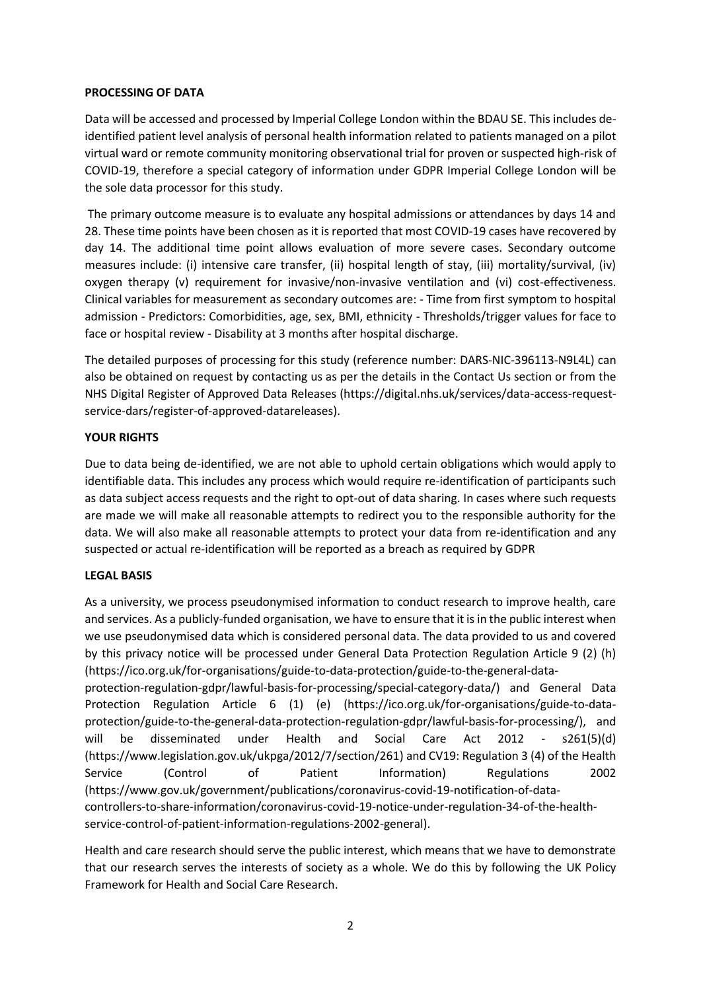#### **PROCESSING OF DATA**

Data will be accessed and processed by Imperial College London within the BDAU SE. This includes deidentified patient level analysis of personal health information related to patients managed on a pilot virtual ward or remote community monitoring observational trial for proven or suspected high-risk of COVID-19, therefore a special category of information under GDPR Imperial College London will be the sole data processor for this study.

The primary outcome measure is to evaluate any hospital admissions or attendances by days 14 and 28. These time points have been chosen as it is reported that most COVID-19 cases have recovered by day 14. The additional time point allows evaluation of more severe cases. Secondary outcome measures include: (i) intensive care transfer, (ii) hospital length of stay, (iii) mortality/survival, (iv) oxygen therapy (v) requirement for invasive/non-invasive ventilation and (vi) cost-effectiveness. Clinical variables for measurement as secondary outcomes are: - Time from first symptom to hospital admission - Predictors: Comorbidities, age, sex, BMI, ethnicity - Thresholds/trigger values for face to face or hospital review - Disability at 3 months after hospital discharge.

The detailed purposes of processing for this study (reference number: DARS-NIC-396113-N9L4L) can also be obtained on request by contacting us as per the details in the Contact Us section or from the NHS Digital Register of Approved Data Releases (https://digital.nhs.uk/services/data-access-requestservice-dars/register-of-approved-datareleases).

## **YOUR RIGHTS**

Due to data being de-identified, we are not able to uphold certain obligations which would apply to identifiable data. This includes any process which would require re-identification of participants such as data subject access requests and the right to opt-out of data sharing. In cases where such requests are made we will make all reasonable attempts to redirect you to the responsible authority for the data. We will also make all reasonable attempts to protect your data from re-identification and any suspected or actual re-identification will be reported as a breach as required by GDPR

## **LEGAL BASIS**

As a university, we process pseudonymised information to conduct research to improve health, care and services. As a publicly-funded organisation, we have to ensure that it is in the public interest when we use pseudonymised data which is considered personal data. The data provided to us and covered by this privacy notice will be processed under General Data Protection Regulation Article 9 (2) (h) (https://ico.org.uk/for-organisations/guide-to-data-protection/guide-to-the-general-dataprotection-regulation-gdpr/lawful-basis-for-processing/special-category-data/) and General Data Protection Regulation Article 6 (1) (e) (https://ico.org.uk/for-organisations/guide-to-dataprotection/guide-to-the-general-data-protection-regulation-gdpr/lawful-basis-for-processing/), and will be disseminated under Health and Social Care Act 2012 - s261(5)(d) (https://www.legislation.gov.uk/ukpga/2012/7/section/261) and CV19: Regulation 3 (4) of the Health

Service (Control of Patient Information) Regulations 2002 (https://www.gov.uk/government/publications/coronavirus-covid-19-notification-of-datacontrollers-to-share-information/coronavirus-covid-19-notice-under-regulation-34-of-the-healthservice-control-of-patient-information-regulations-2002-general).

Health and care research should serve the public interest, which means that we have to demonstrate that our research serves the interests of society as a whole. We do this by following the UK Policy Framework for Health and Social Care Research.